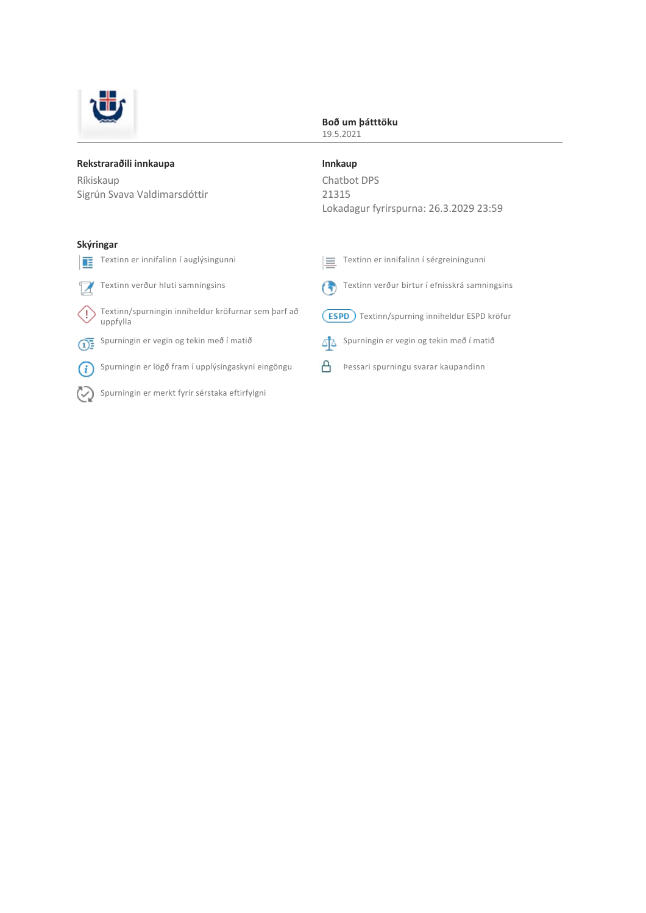

#### **Boð um þátttöku** 19.5.2021

#### **Rekstraraðili innkaupa**

Ríkiskaup Sigrún Svava Valdimarsdóttir **Innkaup** Chatbot DPS 21315 Lokadagur fyrirspurna: 26.3.2029 23:59

#### **Skýringar**

| 里        | Textinn er innifalinn í auglýsingunni                           | 른           | Textinn er innifalinn í sérgreiningunni       |
|----------|-----------------------------------------------------------------|-------------|-----------------------------------------------|
|          | Textinn verður hluti samningsins                                |             | Textinn verður birtur í efnisskrá samningsins |
|          | Textinn/spurningin inniheldur kröfurnar sem þarf að<br>uppfylla | <b>ESPD</b> | Textinn/spurning inniheldur ESPD kröfur       |
| $\Omega$ | Spurningin er vegin og tekin með í matið                        |             | Spurningin er vegin og tekin með í matið      |
|          | Spurningin er lögð fram í upplýsingaskyni eingöngu              |             | Þessari spurningu svarar kaupandinn           |
|          |                                                                 |             |                                               |

Spurningin er merkt fyrir sérstaka eftirfylgni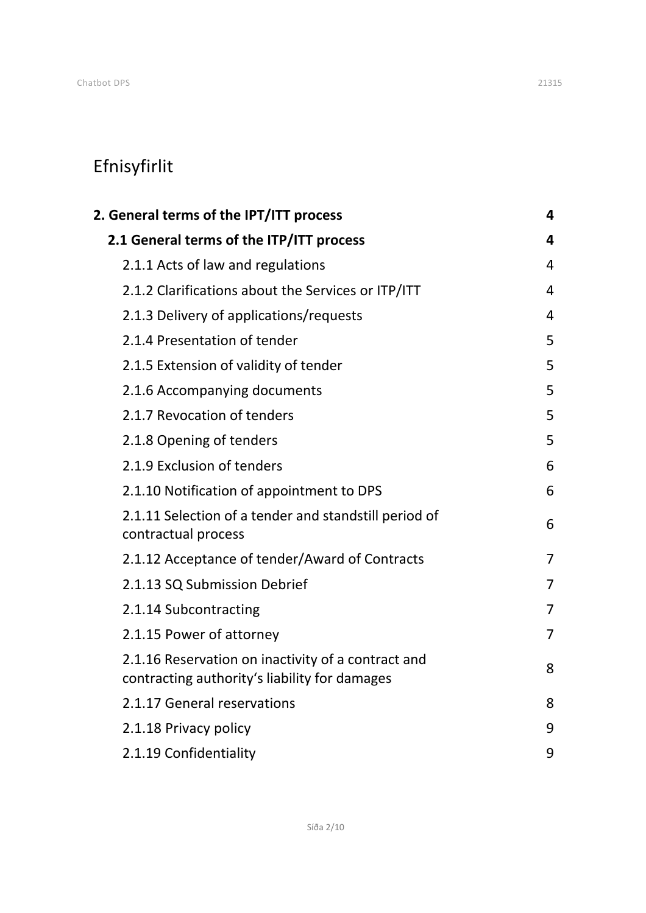# Efnisyfirlit

| 2. General terms of the IPT/ITT process                                                             |                |  |
|-----------------------------------------------------------------------------------------------------|----------------|--|
| 2.1 General terms of the ITP/ITT process                                                            | 4              |  |
| 2.1.1 Acts of law and regulations                                                                   | $\overline{4}$ |  |
| 2.1.2 Clarifications about the Services or ITP/ITT                                                  | 4              |  |
| 2.1.3 Delivery of applications/requests                                                             | 4              |  |
| 2.1.4 Presentation of tender                                                                        | 5              |  |
| 2.1.5 Extension of validity of tender                                                               | 5              |  |
| 2.1.6 Accompanying documents                                                                        | 5              |  |
| 2.1.7 Revocation of tenders                                                                         | 5              |  |
| 2.1.8 Opening of tenders                                                                            | 5              |  |
| 2.1.9 Exclusion of tenders                                                                          | 6              |  |
| 2.1.10 Notification of appointment to DPS                                                           | 6              |  |
| 2.1.11 Selection of a tender and standstill period of<br>contractual process                        | 6              |  |
| 2.1.12 Acceptance of tender/Award of Contracts                                                      | $\overline{7}$ |  |
| 2.1.13 SQ Submission Debrief                                                                        | 7              |  |
| 2.1.14 Subcontracting                                                                               | $\overline{7}$ |  |
| 2.1.15 Power of attorney                                                                            | $\overline{7}$ |  |
| 2.1.16 Reservation on inactivity of a contract and<br>contracting authority's liability for damages | 8              |  |
| 2.1.17 General reservations                                                                         | 8              |  |
| 2.1.18 Privacy policy                                                                               | 9              |  |
| 2.1.19 Confidentiality                                                                              | 9              |  |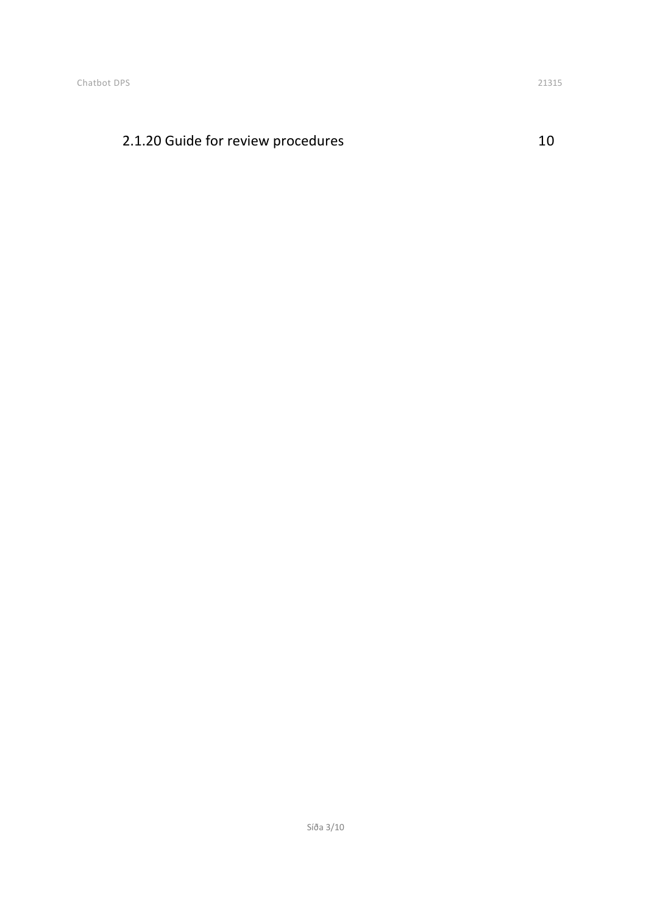## [2.1.20 Guide for review procedures](#page-9-0) 10

Síða 3/10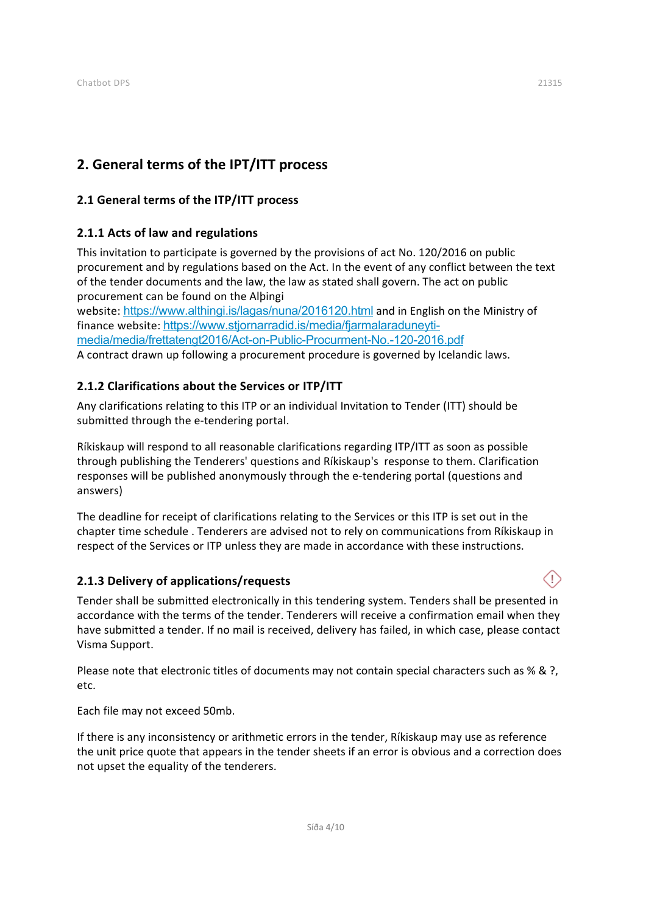## <span id="page-3-0"></span>**2. General terms of the IPT/ITT process**

## <span id="page-3-1"></span>**2.1 General terms of the ITP/ITT process**

## <span id="page-3-2"></span>**2.1.1 Acts of law and regulations**

This invitation to participate is governed by the provisions of act No. 120/2016 on public procurement and by regulations based on the Act. In the event of any conflict between the text of the tender documents and the law, the law as stated shall govern. The act on public procurement can be found on the Alþingi

website: <https://www.althingi.is/lagas/nuna/2016120.html> and in English on the Ministry of finance website: https://www.stjornarradid.is/media/fjarmalaraduneyti[media/media/frettatengt2016/Act-on-Public-Procurment-No.-120-2016.pdf](https://www.stjornarradid.is/media/fjarmalaraduneyti-media/media/frettatengt2016/Act-on-Public-Procurment-No.-120-2016.pdf)

A contract drawn up following a procurement procedure is governed by Icelandic laws.

## <span id="page-3-3"></span>**2.1.2 Clarifications about the Services or ITP/ITT**

Any clarifications relating to this ITP or an individual Invitation to Tender (ITT) should be submitted through the e-tendering portal.

Ríkiskaup will respond to all reasonable clarifications regarding ITP/ITT as soon as possible through publishing the Tenderers' questions and Ríkiskaup's response to them. Clarification responses will be published anonymously through the e‐tendering portal (questions and answers)

The deadline for receipt of clarifications relating to the Services or this ITP is set out in the chapter time schedule . Tenderers are advised not to rely on communications from Ríkiskaup in respect of the Services or ITP unless they are made in accordance with these instructions.

### <span id="page-3-4"></span>**2.1.3 Delivery of applications/requests**

Tender shall be submitted electronically in this tendering system. Tenders shall be presented in accordance with the terms of the tender. Tenderers will receive a confirmation email when they have submitted a tender. If no mail is received, delivery has failed, in which case, please contact Visma Support.

Please note that electronic titles of documents may not contain special characters such as % & ?, etc.

Each file may not exceed 50mb.

If there is any inconsistency or arithmetic errors in the tender, Ríkiskaup may use as reference the unit price quote that appears in the tender sheets if an error is obvious and a correction does not upset the equality of the tenderers.

Œ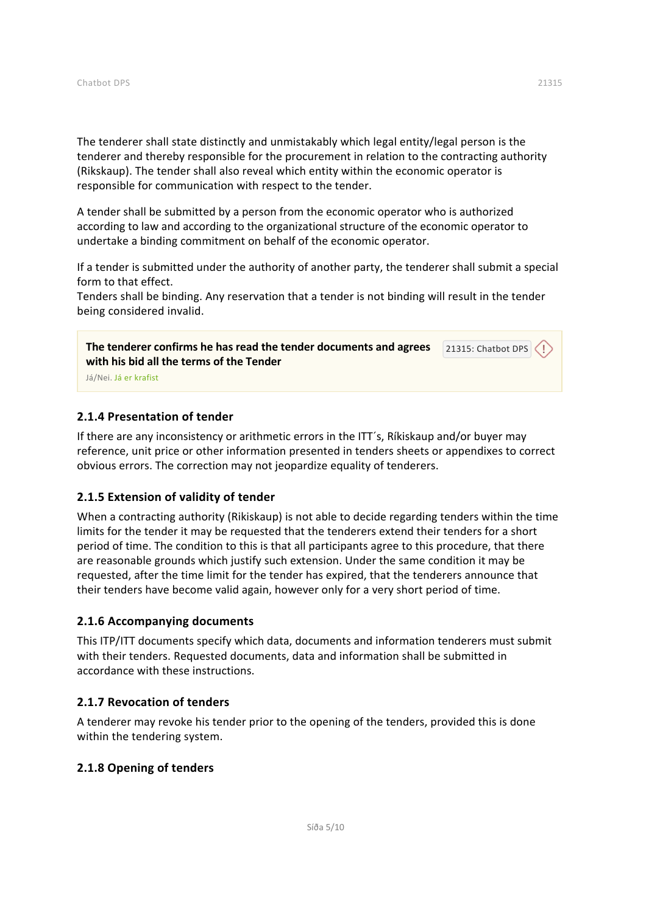The tenderer shall state distinctly and unmistakably which legal entity/legal person is the tenderer and thereby responsible for the procurement in relation to the contracting authority (Rikskaup). The tender shall also reveal which entity within the economic operator is responsible for communication with respect to the tender.

A tender shall be submitted by a person from the economic operator who is authorized according to law and according to the organizational structure of the economic operator to undertake a binding commitment on behalf of the economic operator.

If a tender is submitted under the authority of another party, the tenderer shall submit a special form to that effect.

Tenders shall be binding. Any reservation that a tender is not binding will result in the tender being considered invalid.

**The tenderer confirms he has read the tender documents and agrees with his bid all the terms of the Tender** 21315: Chatbot DPS

Já/Nei. Já er krafist

#### <span id="page-4-0"></span>**2.1.4 Presentation of tender**

If there are any inconsistency or arithmetic errors in the ITT's, Rikiskaup and/or buyer may reference, unit price or other information presented in tenders sheets or appendixes to correct obvious errors. The correction may not jeopardize equality of tenderers.

#### <span id="page-4-1"></span>**2.1.5 Extension of validity of tender**

When a contracting authority (Rikiskaup) is not able to decide regarding tenders within the time limits for the tender it may be requested that the tenderers extend their tenders for a short period of time. The condition to this is that all participants agree to this procedure, that there are reasonable grounds which justify such extension. Under the same condition it may be requested, after the time limit for the tender has expired, that the tenderers announce that their tenders have become valid again, however only for a very short period of time.

#### <span id="page-4-2"></span>**2.1.6 Accompanying documents**

This ITP/ITT documents specify which data, documents and information tenderers must submit with their tenders. Requested documents, data and information shall be submitted in accordance with these instructions.

#### <span id="page-4-3"></span>**2.1.7 Revocation of tenders**

A tenderer may revoke his tender prior to the opening of the tenders, provided this is done within the tendering system.

#### <span id="page-4-4"></span>**2.1.8 Opening of tenders**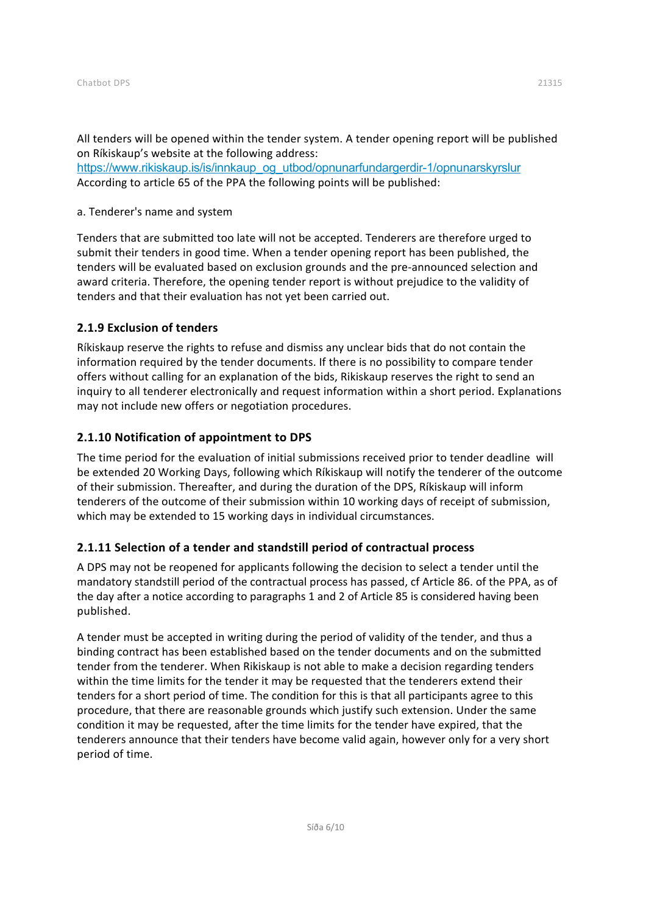All tenders will be opened within the tender system. A tender opening report will be published on Ríkiskaup's website at the following address:

[https://www.rikiskaup.is/is/innkaup\\_og\\_utbod/opnunarfundargerdir-1/opnunarskyrslur](https://www.rikiskaup.is/is/innkaup_og_utbod/opnunarfundargerdir-1/opnunarskyrslur) According to article 65 of the PPA the following points will be published:

#### a. Tenderer's name and system

Tenders that are submitted too late will not be accepted. Tenderers are therefore urged to submit their tenders in good time. When a tender opening report has been published, the tenders will be evaluated based on exclusion grounds and the pre‐announced selection and award criteria. Therefore, the opening tender report is without prejudice to the validity of tenders and that their evaluation has not yet been carried out.

#### <span id="page-5-0"></span>**2.1.9 Exclusion of tenders**

Ríkiskaup reserve the rights to refuse and dismiss any unclear bids that do not contain the information required by the tender documents. If there is no possibility to compare tender offers without calling for an explanation of the bids, Rikiskaup reserves the right to send an inquiry to all tenderer electronically and request information within a short period. Explanations may not include new offers or negotiation procedures.

#### <span id="page-5-1"></span>**2.1.10 Notification of appointment to DPS**

The time period for the evaluation of initial submissions received prior to tender deadline will be extended 20 Working Days, following which Ríkiskaup will notify the tenderer of the outcome of their submission. Thereafter, and during the duration of the DPS, Ríkiskaup will inform tenderers of the outcome of their submission within 10 working days of receipt of submission, which may be extended to 15 working days in individual circumstances.

#### <span id="page-5-2"></span>**2.1.11 Selection of a tender and standstill period of contractual process**

A DPS may not be reopened for applicants following the decision to select a tender until the mandatory standstill period of the contractual process has passed, cf Article 86. of the PPA, as of the day after a notice according to paragraphs 1 and 2 of Article 85 is considered having been published.

A tender must be accepted in writing during the period of validity of the tender, and thus a binding contract has been established based on the tender documents and on the submitted tender from the tenderer. When Rikiskaup is not able to make a decision regarding tenders within the time limits for the tender it may be requested that the tenderers extend their tenders for a short period of time. The condition for this is that all participants agree to this procedure, that there are reasonable grounds which justify such extension. Under the same condition it may be requested, after the time limits for the tender have expired, that the tenderers announce that their tenders have become valid again, however only for a very short period of time.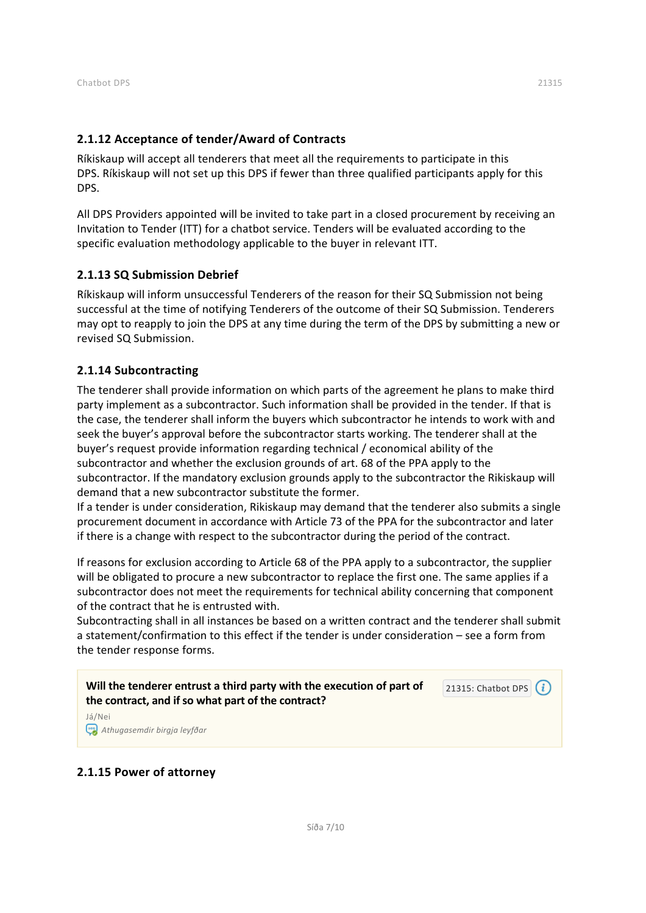<span id="page-6-0"></span>Ríkiskaup will accept all tenderers that meet all the requirements to participate in this DPS. Ríkiskaup will not set up this DPS if fewer than three qualified participants apply for this DPS.

All DPS Providers appointed will be invited to take part in a closed procurement by receiving an Invitation to Tender (ITT) for a chatbot service. Tenders will be evaluated according to the specific evaluation methodology applicable to the buyer in relevant ITT.

#### <span id="page-6-1"></span>**2.1.13 SQ Submission Debrief**

Ríkiskaup will inform unsuccessful Tenderers of the reason for their SQ Submission not being successful at the time of notifying Tenderers of the outcome of their SQ Submission. Tenderers may opt to reapply to join the DPS at any time during the term of the DPS by submitting a new or revised SQ Submission.

#### <span id="page-6-2"></span>**2.1.14 Subcontracting**

The tenderer shall provide information on which parts of the agreement he plans to make third party implement as a subcontractor. Such information shall be provided in the tender. If that is the case, the tenderer shall inform the buyers which subcontractor he intends to work with and seek the buyer's approval before the subcontractor starts working. The tenderer shall at the buyer's request provide information regarding technical / economical ability of the subcontractor and whether the exclusion grounds of art. 68 of the PPA apply to the subcontractor. If the mandatory exclusion grounds apply to the subcontractor the Rikiskaup will demand that a new subcontractor substitute the former.

If a tender is under consideration, Rikiskaup may demand that the tenderer also submits a single procurement document in accordance with Article 73 of the PPA for the subcontractor and later if there is a change with respect to the subcontractor during the period of the contract.

If reasons for exclusion according to Article 68 of the PPA apply to a subcontractor, the supplier will be obligated to procure a new subcontractor to replace the first one. The same applies if a subcontractor does not meet the requirements for technical ability concerning that component of the contract that he is entrusted with.

Subcontracting shall in all instances be based on a written contract and the tenderer shall submit a statement/confirmation to this effect if the tender is under consideration – see a form from the tender response forms.

**Will the tenderer entrust a third party with the execution of part of the contract, and if so what part of the contract?** 21315: Chatbot DPS  $(i)$ 

Já/Nei *Athugasemdir birgja leyfðar*

#### <span id="page-6-3"></span>**2.1.15 Power of attorney**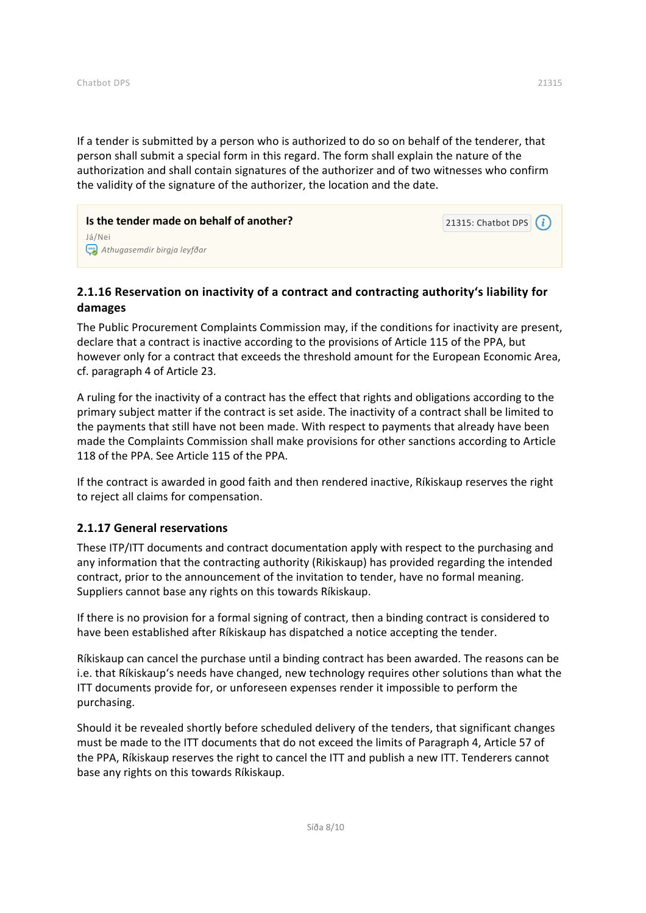If a tender is submitted by a person who is authorized to do so on behalf of the tenderer, that person shall submit a special form in this regard. The form shall explain the nature of the authorization and shall contain signatures of the authorizer and of two witnesses who confirm the validity of the signature of the authorizer, the location and the date.

**Is the tender made on behalf of another?** Já/Nei *Athugasemdir birgja leyfðar*

## <span id="page-7-0"></span>**2.1.16 Reservation on inactivity of a contract and contracting authority's liability for damages**

The Public Procurement Complaints Commission may, if the conditions for inactivity are present, declare that a contract is inactive according to the provisions of Article 115 of the PPA, but however only for a contract that exceeds the threshold amount for the European Economic Area, cf. paragraph 4 of Article 23.

A ruling for the inactivity of a contract has the effect that rights and obligations according to the primary subject matter if the contract is set aside. The inactivity of a contract shall be limited to the payments that still have not been made. With respect to payments that already have been made the Complaints Commission shall make provisions for other sanctions according to Article 118 of the PPA. See Article 115 of the PPA.

If the contract is awarded in good faith and then rendered inactive, Ríkiskaup reserves the right to reject all claims for compensation.

#### <span id="page-7-1"></span>**2.1.17 General reservations**

These ITP/ITT documents and contract documentation apply with respect to the purchasing and any information that the contracting authority (Rikiskaup) has provided regarding the intended contract, prior to the announcement of the invitation to tender, have no formal meaning. Suppliers cannot base any rights on this towards Ríkiskaup.

If there is no provision for a formal signing of contract, then a binding contract is considered to have been established after Ríkiskaup has dispatched a notice accepting the tender.

Ríkiskaup can cancel the purchase until a binding contract has been awarded. The reasons can be i.e. that Ríkiskaup's needs have changed, new technology requires other solutions than what the ITT documents provide for, or unforeseen expenses render it impossible to perform the purchasing.

Should it be revealed shortly before scheduled delivery of the tenders, that significant changes must be made to the ITT documents that do not exceed the limits of Paragraph 4, Article 57 of the PPA, Ríkiskaup reserves the right to cancel the ITT and publish a new ITT. Tenderers cannot base any rights on this towards Ríkiskaup.

21315: Chatbot DPS  $(i)$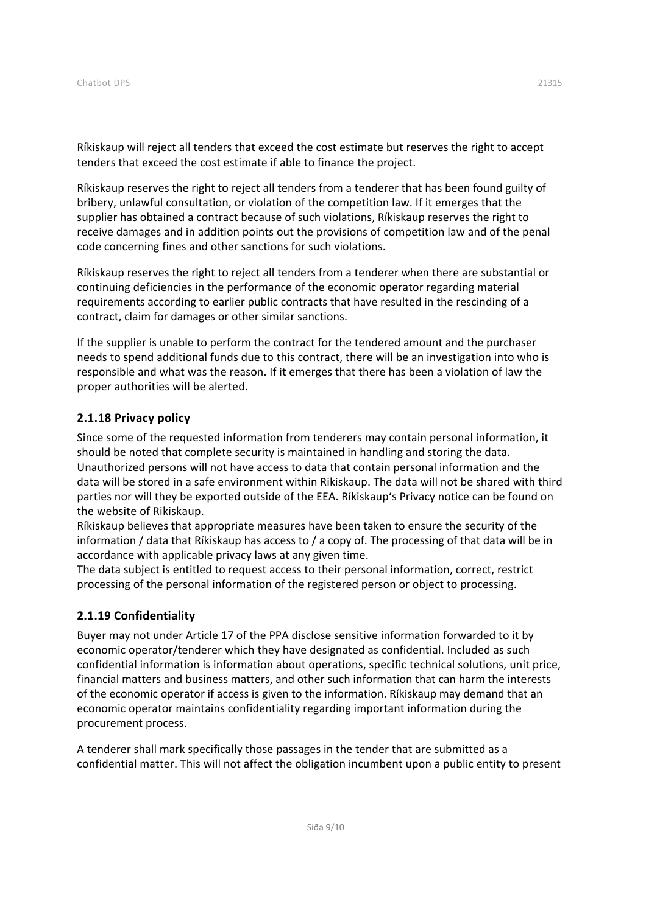Ríkiskaup will reject all tenders that exceed the cost estimate but reserves the right to accept tenders that exceed the cost estimate if able to finance the project.

Ríkiskaup reserves the right to reject all tenders from a tenderer that has been found guilty of bribery, unlawful consultation, or violation of the competition law. If it emerges that the supplier has obtained a contract because of such violations, Ríkiskaup reserves the right to receive damages and in addition points out the provisions of competition law and of the penal code concerning fines and other sanctions for such violations.

Ríkiskaup reserves the right to reject all tenders from a tenderer when there are substantial or continuing deficiencies in the performance of the economic operator regarding material requirements according to earlier public contracts that have resulted in the rescinding of a contract, claim for damages or other similar sanctions.

If the supplier is unable to perform the contract for the tendered amount and the purchaser needs to spend additional funds due to this contract, there will be an investigation into who is responsible and what was the reason. If it emerges that there has been a violation of law the proper authorities will be alerted.

#### <span id="page-8-0"></span>**2.1.18 Privacy policy**

Since some of the requested information from tenderers may contain personal information, it should be noted that complete security is maintained in handling and storing the data. Unauthorized persons will not have access to data that contain personal information and the data will be stored in a safe environment within Rikiskaup. The data will not be shared with third parties nor will they be exported outside of the EEA. Ríkiskaup's Privacy notice can be found on the website of Rikiskaup.

Ríkiskaup believes that appropriate measures have been taken to ensure the security of the information / data that Ríkiskaup has access to / a copy of. The processing of that data will be in accordance with applicable privacy laws at any given time.

The data subject is entitled to request access to their personal information, correct, restrict processing of the personal information of the registered person or object to processing.

#### <span id="page-8-1"></span>**2.1.19 Confidentiality**

Buyer may not under Article 17 of the PPA disclose sensitive information forwarded to it by economic operator/tenderer which they have designated as confidential. Included as such confidential information is information about operations, specific technical solutions, unit price, financial matters and business matters, and other such information that can harm the interests of the economic operator if access is given to the information. Ríkiskaup may demand that an economic operator maintains confidentiality regarding important information during the procurement process.

A tenderer shall mark specifically those passages in the tender that are submitted as a confidential matter. This will not affect the obligation incumbent upon a public entity to present